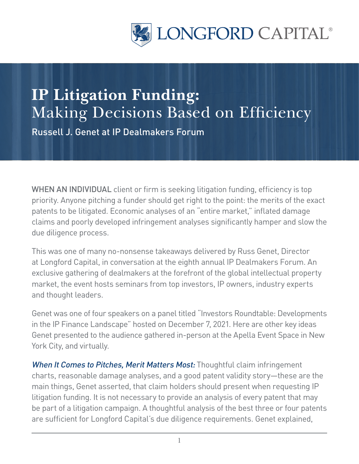

## **IP Litigation Funding:**  Making Decisions Based on Efficiency

Russell J. Genet at IP Dealmakers Forum

WHEN AN INDIVIDUAL client or firm is seeking litigation funding, efficiency is top priority. Anyone pitching a funder should get right to the point: the merits of the exact patents to be litigated. Economic analyses of an "entire market," inflated damage claims and poorly developed infringement analyses significantly hamper and slow the due diligence process.

This was one of many no-nonsense takeaways delivered by Russ Genet, Director at Longford Capital, in conversation at the eighth annual IP Dealmakers Forum. An exclusive gathering of dealmakers at the forefront of the global intellectual property market, the event hosts seminars from top investors, IP owners, industry experts and thought leaders.

Genet was one of four speakers on a panel titled "Investors Roundtable: Developments in the IP Finance Landscape" hosted on December 7, 2021. Here are other key ideas Genet presented to the audience gathered in-person at the Apella Event Space in New York City, and virtually.

When It Comes to Pitches, Merit Matters Most: Thoughtful claim infringement charts, reasonable damage analyses, and a good patent validity story—these are the main things, Genet asserted, that claim holders should present when requesting IP litigation funding. It is not necessary to provide an analysis of every patent that may be part of a litigation campaign. A thoughtful analysis of the best three or four patents are sufficient for Longford Capital's due diligence requirements. Genet explained,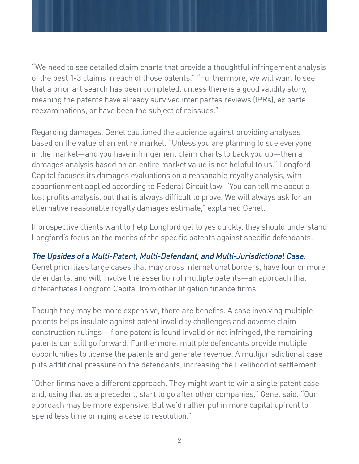"We need to see detailed claim charts that provide a thoughtful infringement analysis of the best 1-3 claims in each of those patents." "Furthermore, we will want to see that a prior art search has been completed, unless there is a good validity story, meaning the patents have already survived inter partes reviews (IPRs), ex parte reexaminations, or have been the subject of reissues."

Regarding damages, Genet cautioned the audience against providing analyses based on the value of an entire market. "Unless you are planning to sue everyone in the market—and you have infringement claim charts to back you up—then a damages analysis based on an entire market value is not helpful to us." Longford Capital focuses its damages evaluations on a reasonable royalty analysis, with apportionment applied according to Federal Circuit law. "You can tell me about a lost profits analysis, but that is always difficult to prove. We will always ask for an alternative reasonable royalty damages estimate," explained Genet.

If prospective clients want to help Longford get to yes quickly, they should understand Longford's focus on the merits of the specific patents against specific defendants.

## The Upsides of a Multi-Patent, Multi-Defendant, and Multi-Jurisdictional Case:

Genet prioritizes large cases that may cross international borders, have four or more defendants, and will involve the assertion of multiple patents—an approach that differentiates Longford Capital from other litigation finance firms.

Though they may be more expensive, there are benefits. A case involving multiple patents helps insulate against patent invalidity challenges and adverse claim construction rulings—if one patent is found invalid or not infringed, the remaining patents can still go forward. Furthermore, multiple defendants provide multiple opportunities to license the patents and generate revenue. A multijurisdictional case puts additional pressure on the defendants, increasing the likelihood of settlement.

"Other firms have a different approach. They might want to win a single patent case and, using that as a precedent, start to go after other companies," Genet said. "Our approach may be more expensive. But we'd rather put in more capital upfront to spend less time bringing a case to resolution."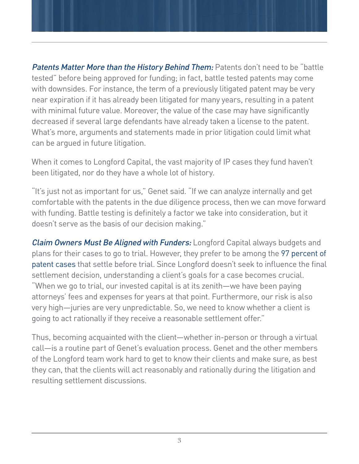**Patents Matter More than the History Behind Them:** Patents don't need to be "battle tested" before being approved for funding; in fact, battle tested patents may come with downsides. For instance, the term of a previously litigated patent may be very near expiration if it has already been litigated for many years, resulting in a patent with minimal future value. Moreover, the value of the case may have significantly decreased if several large defendants have already taken a license to the patent. What's more, arguments and statements made in prior litigation could limit what can be argued in future litigation.

When it comes to Longford Capital, the vast majority of IP cases they fund haven't been litigated, nor do they have a whole lot of history.

"It's just not as important for us," Genet said. "If we can analyze internally and get comfortable with the patents in the due diligence process, then we can move forward with funding. Battle testing is definitely a factor we take into consideration, but it doesn't serve as the basis of our decision making."

**Claim Owners Must Be Aligned with Funders:** Longford Capital always budgets and plans for their cases to go to trial. However, they prefer to be among the [97 percent of](https://legaljobs.io/blog/patent-litigation-statistics/#:~:text=A%3A,year%20in%20the%20United%20States.)  [patent cases](https://legaljobs.io/blog/patent-litigation-statistics/#:~:text=A%3A,year%20in%20the%20United%20States.) that settle before trial. Since Longford doesn't seek to influence the final settlement decision, understanding a client's goals for a case becomes crucial. "When we go to trial, our invested capital is at its zenith—we have been paying attorneys' fees and expenses for years at that point. Furthermore, our risk is also very high—juries are very unpredictable. So, we need to know whether a client is going to act rationally if they receive a reasonable settlement offer."

Thus, becoming acquainted with the client—whether in-person or through a virtual call—is a routine part of Genet's evaluation process. Genet and the other members of the Longford team work hard to get to know their clients and make sure, as best they can, that the clients will act reasonably and rationally during the litigation and resulting settlement discussions.

3